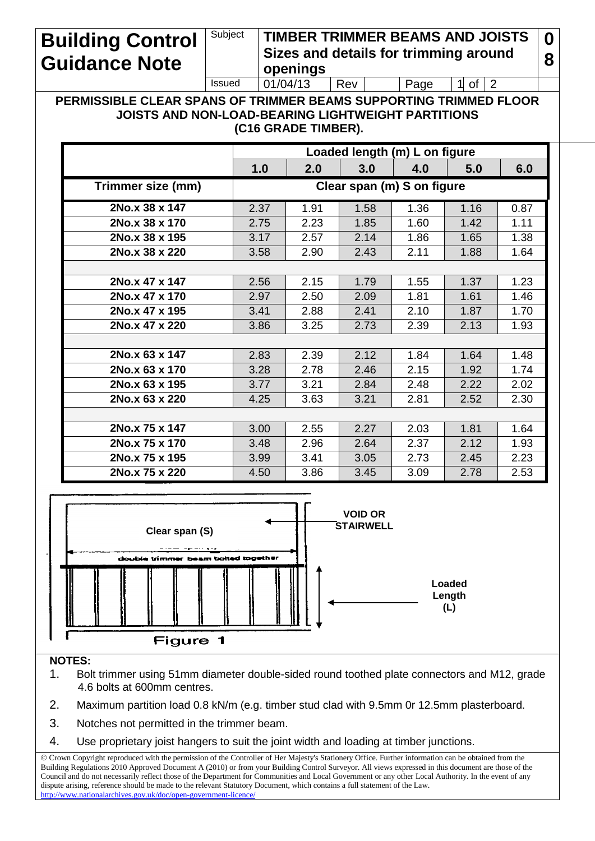## **Building Control Guidance Note**

Subject **TIMBER TRIMMER BEAMS AND JOISTS Sizes and details for trimming around openings 0 8** Issued  $\vert 01/04/13 \vert$  Rev  $\vert$  Page 1 of 2

**PERMISSIBLE CLEAR SPANS OF TRIMMER BEAMS SUPPORTING TRIMMED FLOOR JOISTS AND NON-LOAD-BEARING LIGHTWEIGHT PARTITIONS (C16 GRADE TIMBER).**

|                   | Loaded length (m) L on figure |      |      |      |      |      |  |  |  |  |
|-------------------|-------------------------------|------|------|------|------|------|--|--|--|--|
|                   | 1.0                           | 2.0  | 3.0  | 4.0  | 5.0  | 6.0  |  |  |  |  |
| Trimmer size (mm) | Clear span (m) S on figure    |      |      |      |      |      |  |  |  |  |
| 2No.x 38 x 147    | 2.37                          | 1.91 | 1.58 | 1.36 | 1.16 | 0.87 |  |  |  |  |
| 2No.x 38 x 170    | 2.75                          | 2.23 | 1.85 | 1.60 | 1.42 | 1.11 |  |  |  |  |
| 2No.x 38 x 195    | 3.17                          | 2.57 | 2.14 | 1.86 | 1.65 | 1.38 |  |  |  |  |
| 2No.x 38 x 220    | 3.58                          | 2.90 | 2.43 | 2.11 | 1.88 | 1.64 |  |  |  |  |
|                   |                               |      |      |      |      |      |  |  |  |  |
| 2No.x 47 x 147    | 2.56                          | 2.15 | 1.79 | 1.55 | 1.37 | 1.23 |  |  |  |  |
| 2No.x 47 x 170    | 2.97                          | 2.50 | 2.09 | 1.81 | 1.61 | 1.46 |  |  |  |  |
| 2No.x 47 x 195    | 3.41                          | 2.88 | 2.41 | 2.10 | 1.87 | 1.70 |  |  |  |  |
| 2No.x 47 x 220    | 3.86                          | 3.25 | 2.73 | 2.39 | 2.13 | 1.93 |  |  |  |  |
|                   |                               |      |      |      |      |      |  |  |  |  |
| 2No.x 63 x 147    | 2.83                          | 2.39 | 2.12 | 1.84 | 1.64 | 1.48 |  |  |  |  |
| 2No.x 63 x 170    | 3.28                          | 2.78 | 2.46 | 2.15 | 1.92 | 1.74 |  |  |  |  |
| 2No.x 63 x 195    | 3.77                          | 3.21 | 2.84 | 2.48 | 2.22 | 2.02 |  |  |  |  |
| 2No.x 63 x 220    | 4.25                          | 3.63 | 3.21 | 2.81 | 2.52 | 2.30 |  |  |  |  |
|                   |                               |      |      |      |      |      |  |  |  |  |
| 2No.x 75 x 147    | 3.00                          | 2.55 | 2.27 | 2.03 | 1.81 | 1.64 |  |  |  |  |
| 2No.x 75 x 170    | 3.48                          | 2.96 | 2.64 | 2.37 | 2.12 | 1.93 |  |  |  |  |
| 2No.x 75 x 195    | 3.99                          | 3.41 | 3.05 | 2.73 | 2.45 | 2.23 |  |  |  |  |
| 2No.x 75 x 220    | 4.50                          | 3.86 | 3.45 | 3.09 | 2.78 | 2.53 |  |  |  |  |



## **NOTES:**

- 1. Bolt trimmer using 51mm diameter double-sided round toothed plate connectors and M12, grade 4.6 bolts at 600mm centres.
- 2. Maximum partition load 0.8 kN/m (e.g. timber stud clad with 9.5mm 0r 12.5mm plasterboard.
- 3. Notches not permitted in the trimmer beam.
- 4. Use proprietary joist hangers to suit the joint width and loading at timber junctions.

 Crown Copyright reproduced with the permission of the Controller of Her Majesty's Stationery Office. Further information can be obtained from the Building Regulations 2010 Approved Document A (2010) or from your Building Control Surveyor. All views expressed in this document are those of the Council and do not necessarily reflect those of the Department for Communities and Local Government or any other Local Authority. In the event of any dispute arising, reference should be made to the relevant Statutory Document, which contains a full statement of the Law.  $http://www.nationalarchives.gov.uk/doc/open-government-licen$